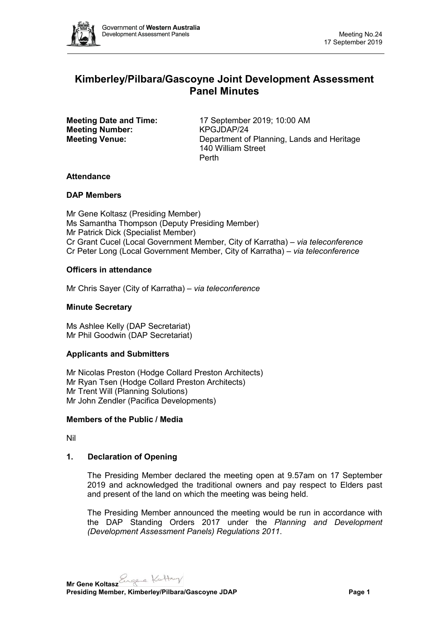

# **Kimberley/Pilbara/Gascoyne Joint Development Assessment Panel Minutes**

**Meeting Number:** 

**Meeting Date and Time:** 17 September 2019; 10:00 AM<br> **Meeting Number:** KPGJDAP/24 **Meeting Venue:** Department of Planning, Lands and Heritage 140 William Street Perth

# **Attendance**

# **DAP Members**

Mr Gene Koltasz (Presiding Member) Ms Samantha Thompson (Deputy Presiding Member) Mr Patrick Dick (Specialist Member) Cr Grant Cucel (Local Government Member, City of Karratha) *– via teleconference* Cr Peter Long (Local Government Member, City of Karratha) *– via teleconference*

# **Officers in attendance**

Mr Chris Sayer (City of Karratha) *– via teleconference*

# **Minute Secretary**

Ms Ashlee Kelly (DAP Secretariat) Mr Phil Goodwin (DAP Secretariat)

# **Applicants and Submitters**

Mr Nicolas Preston (Hodge Collard Preston Architects) Mr Ryan Tsen (Hodge Collard Preston Architects) Mr Trent Will (Planning Solutions) Mr John Zendler (Pacifica Developments)

# **Members of the Public / Media**

Nil

# **1. Declaration of Opening**

The Presiding Member declared the meeting open at 9.57am on 17 September 2019 and acknowledged the traditional owners and pay respect to Elders past and present of the land on which the meeting was being held.

The Presiding Member announced the meeting would be run in accordance with the DAP Standing Orders 2017 under the *Planning and Development (Development Assessment Panels) Regulations 2011*.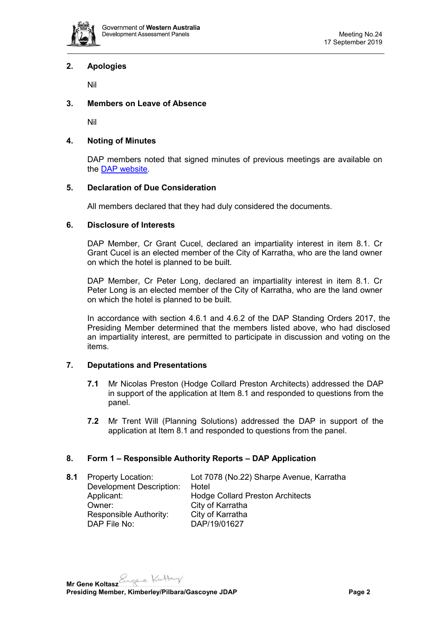

# **2. Apologies**

Nil

# **3. Members on Leave of Absence**

Nil

### **4. Noting of Minutes**

DAP members noted that signed minutes of previous meetings are available on the [DAP website.](https://www.dplh.wa.gov.au/about/development-assessment-panels/daps-agendas-and-minutes)

### **5. Declaration of Due Consideration**

All members declared that they had duly considered the documents.

### **6. Disclosure of Interests**

DAP Member, Cr Grant Cucel, declared an impartiality interest in item 8.1. Cr Grant Cucel is an elected member of the City of Karratha, who are the land owner on which the hotel is planned to be built.

DAP Member, Cr Peter Long, declared an impartiality interest in item 8.1. Cr Peter Long is an elected member of the City of Karratha, who are the land owner on which the hotel is planned to be built.

In accordance with section 4.6.1 and 4.6.2 of the DAP Standing Orders 2017, the Presiding Member determined that the members listed above, who had disclosed an impartiality interest, are permitted to participate in discussion and voting on the items.

#### **7. Deputations and Presentations**

- **7.1** Mr Nicolas Preston (Hodge Collard Preston Architects) addressed the DAP in support of the application at Item 8.1 and responded to questions from the panel.
- **7.2** Mr Trent Will (Planning Solutions) addressed the DAP in support of the application at Item 8.1 and responded to questions from the panel.

# **8. Form 1 – Responsible Authority Reports – DAP Application**

**8.1** Property Location: Lot 7078 (No.22) Sharpe Avenue, Karratha Development Description: Hotel Applicant: Hodge Collard Preston Architects<br>
Owner: City of Karratha City of Karratha<br>City of Karratha Responsible Authority:<br>DAP File No: DAP/19/01627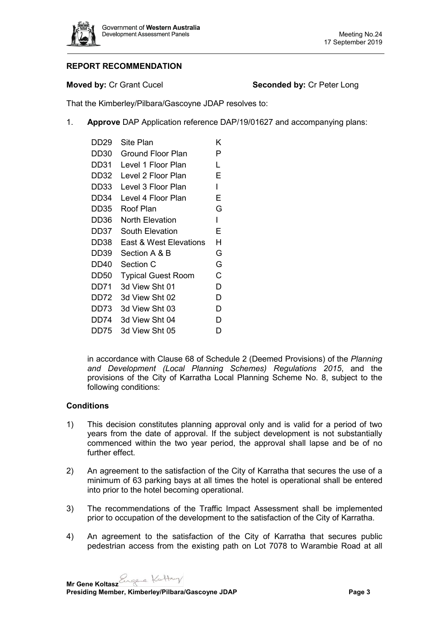

# **REPORT RECOMMENDATION**

### **Moved by: Cr Grant Cucel <b>Seconded by: Cr Peter Long**

That the Kimberley/Pilbara/Gascoyne JDAP resolves to:

1. **Approve** DAP Application reference DAP/19/01627 and accompanying plans:

| DD29 | Site Plan                 |   |
|------|---------------------------|---|
| DD30 | Ground Floor Plan         |   |
| DD31 | Level 1 Floor Plan        |   |
| DD32 | Level 2 Floor Plan        |   |
| DD33 | Level 3 Floor Plan        |   |
| DD34 | Level 4 Floor Plan        |   |
| DD35 | Roof Plan                 |   |
| DD36 | North Elevation           |   |
| DD37 | South Elevation           |   |
| DD38 | East & West Elevations    |   |
| DD39 | G<br>Section A & B        |   |
| DD40 | Section C                 |   |
| DD50 | <b>Typical Guest Room</b> |   |
| DD71 | 3d View Sht 01            |   |
| DD72 | 3d View Sht 02            | D |
| DD73 | 3d View Sht 03            | D |
| DD74 | 3d View Sht 04            | D |
| DD75 | 3d View Sht 05            | D |

in accordance with Clause 68 of Schedule 2 (Deemed Provisions) of the *Planning and Development (Local Planning Schemes) Regulations 2015*, and the provisions of the City of Karratha Local Planning Scheme No. 8, subject to the following conditions:

# **Conditions**

- 1) This decision constitutes planning approval only and is valid for a period of two years from the date of approval. If the subject development is not substantially commenced within the two year period, the approval shall lapse and be of no further effect.
- 2) An agreement to the satisfaction of the City of Karratha that secures the use of a minimum of 63 parking bays at all times the hotel is operational shall be entered into prior to the hotel becoming operational.
- 3) The recommendations of the Traffic Impact Assessment shall be implemented prior to occupation of the development to the satisfaction of the City of Karratha.
- 4) An agreement to the satisfaction of the City of Karratha that secures public pedestrian access from the existing path on Lot 7078 to Warambie Road at all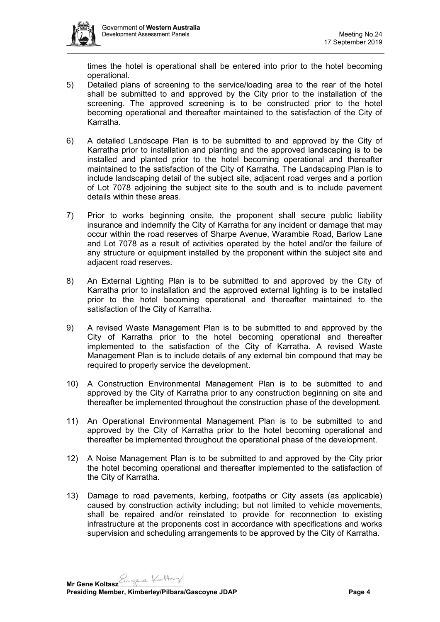

times the hotel is operational shall be entered into prior to the hotel becoming operational.

- 5) Detailed plans of screening to the service/loading area to the rear of the hotel shall be submitted to and approved by the City prior to the installation of the screening. The approved screening is to be constructed prior to the hotel becoming operational and thereafter maintained to the satisfaction of the City of Karratha.
- 6) A detailed Landscape Plan is to be submitted to and approved by the City of Karratha prior to installation and planting and the approved landscaping is to be installed and planted prior to the hotel becoming operational and thereafter maintained to the satisfaction of the City of Karratha. The Landscaping Plan is to include landscaping detail of the subject site, adjacent road verges and a portion of Lot 7078 adjoining the subject site to the south and is to include pavement details within these areas.
- 7) Prior to works beginning onsite, the proponent shall secure public liability insurance and indemnify the City of Karratha for any incident or damage that may occur within the road reserves of Sharpe Avenue, Warambie Road, Barlow Lane and Lot 7078 as a result of activities operated by the hotel and/or the failure of any structure or equipment installed by the proponent within the subject site and adjacent road reserves.
- 8) An External Lighting Plan is to be submitted to and approved by the City of Karratha prior to installation and the approved external lighting is to be installed prior to the hotel becoming operational and thereafter maintained to the satisfaction of the City of Karratha.
- 9) A revised Waste Management Plan is to be submitted to and approved by the City of Karratha prior to the hotel becoming operational and thereafter implemented to the satisfaction of the City of Karratha. A revised Waste Management Plan is to include details of any external bin compound that may be required to properly service the development.
- 10) A Construction Environmental Management Plan is to be submitted to and approved by the City of Karratha prior to any construction beginning on site and thereafter be implemented throughout the construction phase of the development.
- 11) An Operational Environmental Management Plan is to be submitted to and approved by the City of Karratha prior to the hotel becoming operational and thereafter be implemented throughout the operational phase of the development.
- 12) A Noise Management Plan is to be submitted to and approved by the City prior the hotel becoming operational and thereafter implemented to the satisfaction of the City of Karratha.
- 13) Damage to road pavements, kerbing, footpaths or City assets (as applicable) caused by construction activity including; but not limited to vehicle movements, shall be repaired and/or reinstated to provide for reconnection to existing infrastructure at the proponents cost in accordance with specifications and works supervision and scheduling arrangements to be approved by the City of Karratha.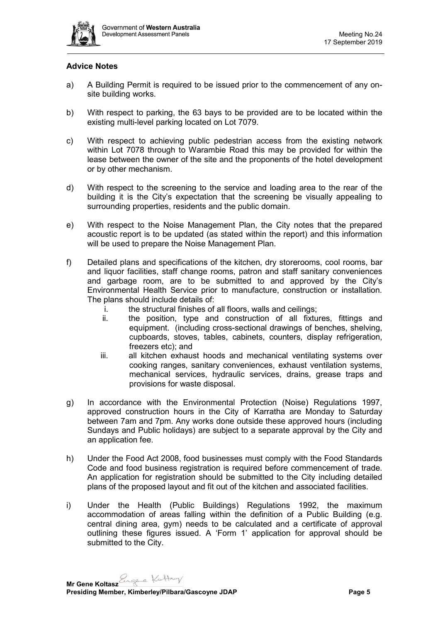

# **Advice Notes**

- a) A Building Permit is required to be issued prior to the commencement of any onsite building works.
- b) With respect to parking, the 63 bays to be provided are to be located within the existing multi-level parking located on Lot 7079.
- c) With respect to achieving public pedestrian access from the existing network within Lot 7078 through to Warambie Road this may be provided for within the lease between the owner of the site and the proponents of the hotel development or by other mechanism.
- d) With respect to the screening to the service and loading area to the rear of the building it is the City's expectation that the screening be visually appealing to surrounding properties, residents and the public domain.
- e) With respect to the Noise Management Plan, the City notes that the prepared acoustic report is to be updated (as stated within the report) and this information will be used to prepare the Noise Management Plan.
- f) Detailed plans and specifications of the kitchen, dry storerooms, cool rooms, bar and liquor facilities, staff change rooms, patron and staff sanitary conveniences and garbage room, are to be submitted to and approved by the City's Environmental Health Service prior to manufacture, construction or installation. The plans should include details of:
	- i. the structural finishes of all floors, walls and ceilings;
	- ii. the position, type and construction of all fixtures, fittings and equipment. (including cross-sectional drawings of benches, shelving, cupboards, stoves, tables, cabinets, counters, display refrigeration, freezers etc); and
	- iii. all kitchen exhaust hoods and mechanical ventilating systems over cooking ranges, sanitary conveniences, exhaust ventilation systems, mechanical services, hydraulic services, drains, grease traps and provisions for waste disposal.
- g) In accordance with the Environmental Protection (Noise) Regulations 1997, approved construction hours in the City of Karratha are Monday to Saturday between 7am and 7pm. Any works done outside these approved hours (including Sundays and Public holidays) are subject to a separate approval by the City and an application fee.
- h) Under the Food Act 2008, food businesses must comply with the Food Standards Code and food business registration is required before commencement of trade. An application for registration should be submitted to the City including detailed plans of the proposed layout and fit out of the kitchen and associated facilities.
- i) Under the Health (Public Buildings) Regulations 1992, the maximum accommodation of areas falling within the definition of a Public Building (e.g. central dining area, gym) needs to be calculated and a certificate of approval outlining these figures issued. A 'Form 1' application for approval should be submitted to the City.